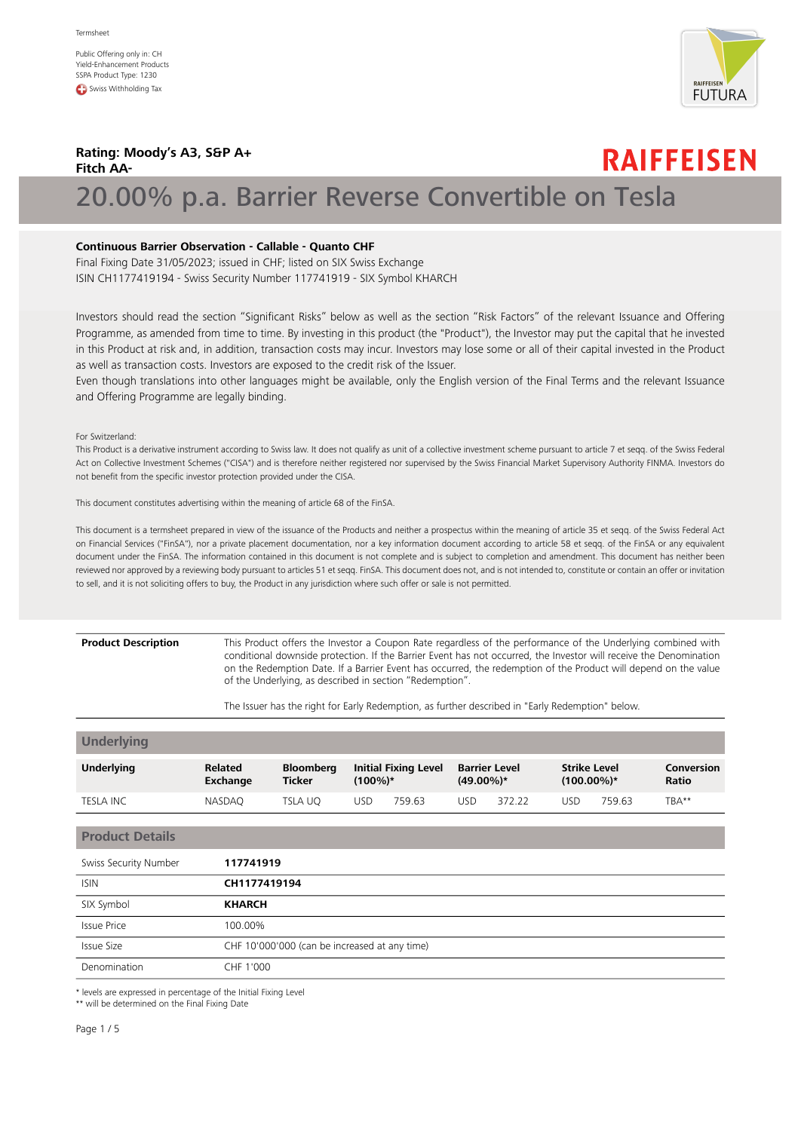Public Offering only in: CH Yield-Enhancement Products SSPA Product Type: 1230 **C** Swiss Withholding Tax



**RAIFFEISEN** 

## **Rating: Moody's A3, S&P A+ Fitch AA-**

# 20.00% p.a. Barrier Reverse Convertible on Tesla

### **Continuous Barrier Observation - Callable - Quanto CHF**

Final Fixing Date 31/05/2023; issued in CHF; listed on SIX Swiss Exchange ISIN CH1177419194 - Swiss Security Number 117741919 - SIX Symbol KHARCH

Investors should read the section "Significant Risks" below as well as the section "Risk Factors" of the relevant Issuance and Offering Programme, as amended from time to time. By investing in this product (the "Product"), the Investor may put the capital that he invested in this Product at risk and, in addition, transaction costs may incur. Investors may lose some or all of their capital invested in the Product as well as transaction costs. Investors are exposed to the credit risk of the Issuer.

Even though translations into other languages might be available, only the English version of the Final Terms and the relevant Issuance and Offering Programme are legally binding.

For Switzerland:

This Product is a derivative instrument according to Swiss law. It does not qualify as unit of a collective investment scheme pursuant to article 7 et seqq. of the Swiss Federal Act on Collective Investment Schemes ("CISA") and is therefore neither registered nor supervised by the Swiss Financial Market Supervisory Authority FINMA. Investors do not benefit from the specific investor protection provided under the CISA.

This document constitutes advertising within the meaning of article 68 of the FinSA.

This document is a termsheet prepared in view of the issuance of the Products and neither a prospectus within the meaning of article 35 et seqq. of the Swiss Federal Act on Financial Services ("FinSA"), nor a private placement documentation, nor a key information document according to article 58 et seqq. of the FinSA or any equivalent document under the FinSA. The information contained in this document is not complete and is subject to completion and amendment. This document has neither been reviewed nor approved by a reviewing body pursuant to articles 51 et seqq. FinSA. This document does not, and is not intended to, constitute or contain an offer or invitation to sell, and it is not soliciting offers to buy, the Product in any jurisdiction where such offer or sale is not permitted.

## **Product Description**

This Product offers the Investor a Coupon Rate regardless of the performance of the Underlying combined with conditional downside protection. If the Barrier Event has not occurred, the Investor will receive the Denomination on the Redemption Date. If a Barrier Event has occurred, the redemption of the Product will depend on the value of the Underlying, as described in section "Redemption".

The Issuer has the right for Early Redemption, as further described in "Early Redemption" below.

| <b>Underlying</b> |                            |                                   |            |                             |                                      |        |                                      |        |                                   |
|-------------------|----------------------------|-----------------------------------|------------|-----------------------------|--------------------------------------|--------|--------------------------------------|--------|-----------------------------------|
| <b>Underlying</b> | <b>Related</b><br>Exchange | <b>Bloomberg</b><br><b>Ticker</b> | $(100\%)*$ | <b>Initial Fixing Level</b> | <b>Barrier Level</b><br>$(49.00\%)*$ |        | <b>Strike Level</b><br>$(100.00\%)*$ |        | <b>Conversion</b><br><b>Ratio</b> |
| <b>TESLA INC</b>  | <b>NASDAO</b>              | TSLA UO                           | USD        | 759.63                      | USD                                  | 372.22 | USD                                  | 759.63 | TBA**                             |

### **Product Details**

| Swiss Security Number | 117741919                                     |
|-----------------------|-----------------------------------------------|
| <b>ISIN</b>           | CH1177419194                                  |
| SIX Symbol            | <b>KHARCH</b>                                 |
| <b>Issue Price</b>    | 100.00%                                       |
| Issue Size            | CHF 10'000'000 (can be increased at any time) |
| Denomination          | CHF 1'000                                     |

\* levels are expressed in percentage of the Initial Fixing Level

\*\* will be determined on the Final Fixing Date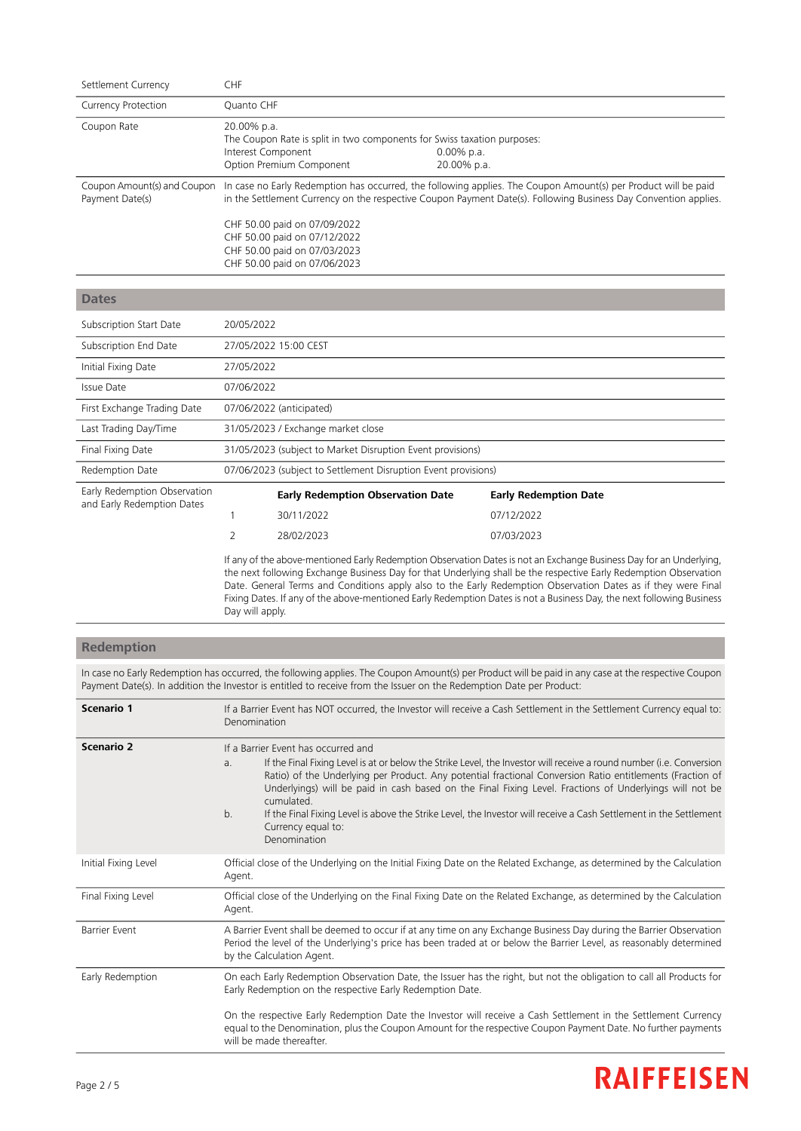| Settlement Currency                                        | CHF                                                        |                                                                                                                                                                                                                                   |                              |                                                                                                                                                                                                                                                                                                                                                          |
|------------------------------------------------------------|------------------------------------------------------------|-----------------------------------------------------------------------------------------------------------------------------------------------------------------------------------------------------------------------------------|------------------------------|----------------------------------------------------------------------------------------------------------------------------------------------------------------------------------------------------------------------------------------------------------------------------------------------------------------------------------------------------------|
| <b>Currency Protection</b>                                 | Quanto CHF                                                 |                                                                                                                                                                                                                                   |                              |                                                                                                                                                                                                                                                                                                                                                          |
| Coupon Rate                                                | 20.00% p.a.<br>Interest Component                          | The Coupon Rate is split in two components for Swiss taxation purposes:<br>Option Premium Component                                                                                                                               | $0.00\%$ p.a.<br>20.00% p.a. |                                                                                                                                                                                                                                                                                                                                                          |
| Coupon Amount(s) and Coupon<br>Payment Date(s)             |                                                            | In case no Early Redemption has occurred, the following applies. The Coupon Amount(s) per Product will be paid<br>in the Settlement Currency on the respective Coupon Payment Date(s). Following Business Day Convention applies. |                              |                                                                                                                                                                                                                                                                                                                                                          |
|                                                            |                                                            | CHF 50.00 paid on 07/09/2022<br>CHF 50.00 paid on 07/12/2022<br>CHF 50.00 paid on 07/03/2023<br>CHF 50.00 paid on 07/06/2023                                                                                                      |                              |                                                                                                                                                                                                                                                                                                                                                          |
| <b>Dates</b>                                               |                                                            |                                                                                                                                                                                                                                   |                              |                                                                                                                                                                                                                                                                                                                                                          |
| Subscription Start Date                                    | 20/05/2022                                                 |                                                                                                                                                                                                                                   |                              |                                                                                                                                                                                                                                                                                                                                                          |
| Subscription End Date                                      |                                                            | 27/05/2022 15:00 CEST                                                                                                                                                                                                             |                              |                                                                                                                                                                                                                                                                                                                                                          |
| Initial Fixing Date                                        | 27/05/2022                                                 |                                                                                                                                                                                                                                   |                              |                                                                                                                                                                                                                                                                                                                                                          |
| <b>Issue Date</b>                                          | 07/06/2022                                                 |                                                                                                                                                                                                                                   |                              |                                                                                                                                                                                                                                                                                                                                                          |
| First Exchange Trading Date                                |                                                            | 07/06/2022 (anticipated)                                                                                                                                                                                                          |                              |                                                                                                                                                                                                                                                                                                                                                          |
| Last Trading Day/Time                                      |                                                            | 31/05/2023 / Exchange market close                                                                                                                                                                                                |                              |                                                                                                                                                                                                                                                                                                                                                          |
| Final Fixing Date                                          | 31/05/2023 (subject to Market Disruption Event provisions) |                                                                                                                                                                                                                                   |                              |                                                                                                                                                                                                                                                                                                                                                          |
| Redemption Date                                            |                                                            | 07/06/2023 (subject to Settlement Disruption Event provisions)                                                                                                                                                                    |                              |                                                                                                                                                                                                                                                                                                                                                          |
| Early Redemption Observation<br>and Early Redemption Dates |                                                            | <b>Early Redemption Observation Date</b>                                                                                                                                                                                          |                              | <b>Early Redemption Date</b>                                                                                                                                                                                                                                                                                                                             |
|                                                            | $\mathbf{1}$                                               | 30/11/2022                                                                                                                                                                                                                        |                              | 07/12/2022                                                                                                                                                                                                                                                                                                                                               |
|                                                            | 2                                                          | 28/02/2023                                                                                                                                                                                                                        |                              | 07/03/2023                                                                                                                                                                                                                                                                                                                                               |
|                                                            |                                                            |                                                                                                                                                                                                                                   |                              | If any of the above-mentioned Early Redemption Observation Dates is not an Exchange Business Day for an Underlying,<br>the next following Exchange Business Day for that Underlying shall be the respective Early Redemption Observation<br>Date General Terms and Conditions annly also to the Early Redemntion Observation Dates as if they were Final |

Date. General Terms and Conditions apply also to the Early Redemption Observation Dates as if they were Final Fixing Dates. If any of the above-mentioned Early Redemption Dates is not a Business Day, the next following Business Day will apply.

## **Redemption**

In case no Early Redemption has occurred, the following applies. The Coupon Amount(s) per Product will be paid in any case at the respective Coupon Payment Date(s). In addition the Investor is entitled to receive from the Issuer on the Redemption Date per Product:

| Scenario 1           | If a Barrier Event has NOT occurred, the Investor will receive a Cash Settlement in the Settlement Currency equal to:<br>Denomination                                                                                                                                                                                                                                                                                                                                                                                                                                                 |
|----------------------|---------------------------------------------------------------------------------------------------------------------------------------------------------------------------------------------------------------------------------------------------------------------------------------------------------------------------------------------------------------------------------------------------------------------------------------------------------------------------------------------------------------------------------------------------------------------------------------|
| Scenario 2           | If a Barrier Event has occurred and<br>If the Final Fixing Level is at or below the Strike Level, the Investor will receive a round number (i.e. Conversion<br>a <sub>z</sub><br>Ratio) of the Underlying per Product. Any potential fractional Conversion Ratio entitlements (Fraction of<br>Underlyings) will be paid in cash based on the Final Fixing Level. Fractions of Underlyings will not be<br>cumulated.<br>b.<br>If the Final Fixing Level is above the Strike Level, the Investor will receive a Cash Settlement in the Settlement<br>Currency equal to:<br>Denomination |
| Initial Fixing Level | Official close of the Underlying on the Initial Fixing Date on the Related Exchange, as determined by the Calculation<br>Agent.                                                                                                                                                                                                                                                                                                                                                                                                                                                       |
| Final Fixing Level   | Official close of the Underlying on the Final Fixing Date on the Related Exchange, as determined by the Calculation<br>Agent.                                                                                                                                                                                                                                                                                                                                                                                                                                                         |
| <b>Barrier Event</b> | A Barrier Event shall be deemed to occur if at any time on any Exchange Business Day during the Barrier Observation<br>Period the level of the Underlying's price has been traded at or below the Barrier Level, as reasonably determined<br>by the Calculation Agent.                                                                                                                                                                                                                                                                                                                |
| Early Redemption     | On each Early Redemption Observation Date, the Issuer has the right, but not the obligation to call all Products for<br>Early Redemption on the respective Early Redemption Date.                                                                                                                                                                                                                                                                                                                                                                                                     |
|                      | On the respective Early Redemption Date the Investor will receive a Cash Settlement in the Settlement Currency<br>equal to the Denomination, plus the Coupon Amount for the respective Coupon Payment Date. No further payments<br>will be made thereafter.                                                                                                                                                                                                                                                                                                                           |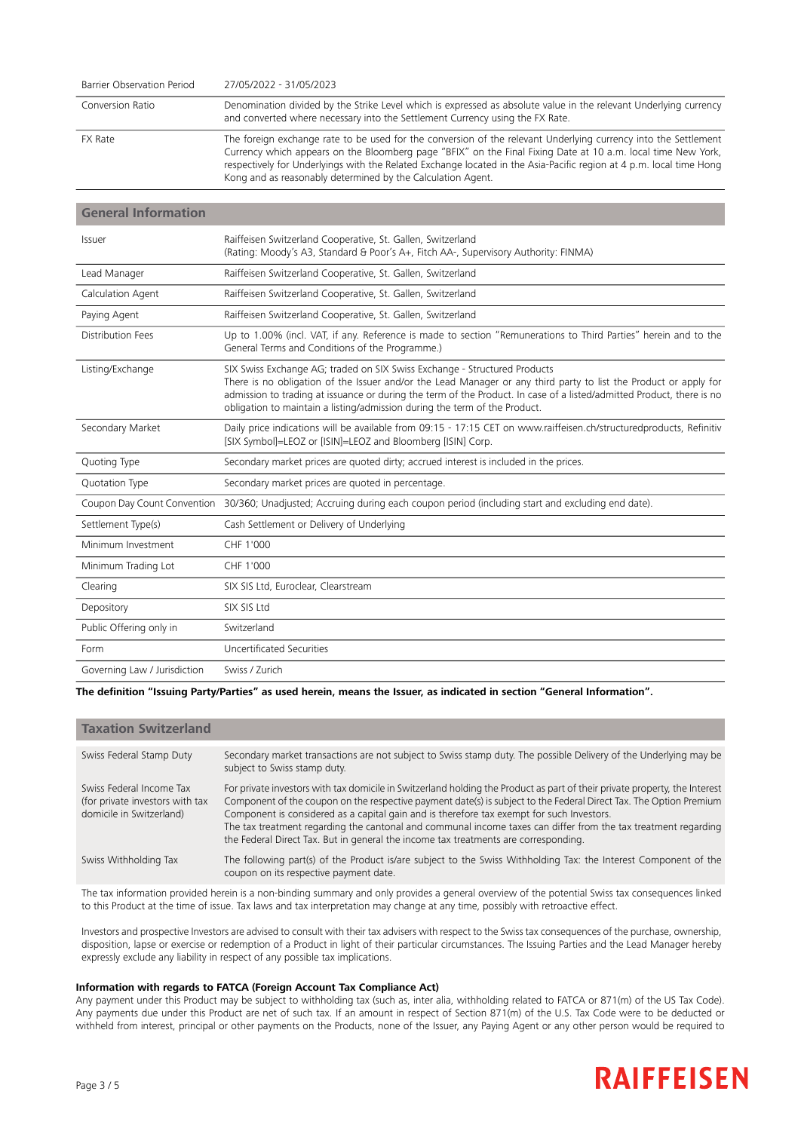| Barrier Observation Period | 27/05/2022 - 31/05/2023                                                                                                                                                                                                                                                                                                                                                                                               |
|----------------------------|-----------------------------------------------------------------------------------------------------------------------------------------------------------------------------------------------------------------------------------------------------------------------------------------------------------------------------------------------------------------------------------------------------------------------|
| Conversion Ratio           | Denomination divided by the Strike Level which is expressed as absolute value in the relevant Underlying currency<br>and converted where necessary into the Settlement Currency using the FX Rate.                                                                                                                                                                                                                    |
| <b>FX Rate</b>             | The foreign exchange rate to be used for the conversion of the relevant Underlying currency into the Settlement<br>Currency which appears on the Bloomberg page "BFIX" on the Final Fixing Date at 10 a.m. local time New York,<br>respectively for Underlyings with the Related Exchange located in the Asia-Pacific region at 4 p.m. local time Hong<br>Kong and as reasonably determined by the Calculation Agent. |

### **General Information**

| Issuer                       | Raiffeisen Switzerland Cooperative, St. Gallen, Switzerland<br>(Rating: Moody's A3, Standard & Poor's A+, Fitch AA-, Supervisory Authority: FINMA)                                                                                                                                                                                                                                                   |
|------------------------------|------------------------------------------------------------------------------------------------------------------------------------------------------------------------------------------------------------------------------------------------------------------------------------------------------------------------------------------------------------------------------------------------------|
| Lead Manager                 | Raiffeisen Switzerland Cooperative, St. Gallen, Switzerland                                                                                                                                                                                                                                                                                                                                          |
| Calculation Agent            | Raiffeisen Switzerland Cooperative, St. Gallen, Switzerland                                                                                                                                                                                                                                                                                                                                          |
| Paying Agent                 | Raiffeisen Switzerland Cooperative, St. Gallen, Switzerland                                                                                                                                                                                                                                                                                                                                          |
| Distribution Fees            | Up to 1.00% (incl. VAT, if any. Reference is made to section "Remunerations to Third Parties" herein and to the<br>General Terms and Conditions of the Programme.)                                                                                                                                                                                                                                   |
| Listing/Exchange             | SIX Swiss Exchange AG; traded on SIX Swiss Exchange - Structured Products<br>There is no obligation of the Issuer and/or the Lead Manager or any third party to list the Product or apply for<br>admission to trading at issuance or during the term of the Product. In case of a listed/admitted Product, there is no<br>obligation to maintain a listing/admission during the term of the Product. |
| Secondary Market             | Daily price indications will be available from 09:15 - 17:15 CET on www.raiffeisen.ch/structuredproducts, Refinitiv<br>[SIX Symbol]=LEOZ or [ISIN]=LEOZ and Bloomberg [ISIN] Corp.                                                                                                                                                                                                                   |
| Quoting Type                 | Secondary market prices are quoted dirty; accrued interest is included in the prices.                                                                                                                                                                                                                                                                                                                |
| Quotation Type               | Secondary market prices are quoted in percentage.                                                                                                                                                                                                                                                                                                                                                    |
| Coupon Day Count Convention  | 30/360; Unadjusted; Accruing during each coupon period (including start and excluding end date).                                                                                                                                                                                                                                                                                                     |
| Settlement Type(s)           | Cash Settlement or Delivery of Underlying                                                                                                                                                                                                                                                                                                                                                            |
| Minimum Investment           | CHF 1'000                                                                                                                                                                                                                                                                                                                                                                                            |
| Minimum Trading Lot          | CHF 1'000                                                                                                                                                                                                                                                                                                                                                                                            |
| Clearing                     | SIX SIS Ltd, Euroclear, Clearstream                                                                                                                                                                                                                                                                                                                                                                  |
| Depository                   | SIX SIS Ltd                                                                                                                                                                                                                                                                                                                                                                                          |
| Public Offering only in      | Switzerland                                                                                                                                                                                                                                                                                                                                                                                          |
| Form                         | Uncertificated Securities                                                                                                                                                                                                                                                                                                                                                                            |
| Governing Law / Jurisdiction | Swiss / Zurich                                                                                                                                                                                                                                                                                                                                                                                       |

The definition "Issuing Party/Parties" as used herein, means the Issuer, as indicated in section "General Information".

| <b>Taxation Switzerland</b>                                                             |                                                                                                                                                                                                                                                                                                                                                                                                                                                                                                                                                        |
|-----------------------------------------------------------------------------------------|--------------------------------------------------------------------------------------------------------------------------------------------------------------------------------------------------------------------------------------------------------------------------------------------------------------------------------------------------------------------------------------------------------------------------------------------------------------------------------------------------------------------------------------------------------|
| Swiss Federal Stamp Duty                                                                | Secondary market transactions are not subject to Swiss stamp duty. The possible Delivery of the Underlying may be<br>subject to Swiss stamp duty.                                                                                                                                                                                                                                                                                                                                                                                                      |
| Swiss Federal Income Tax<br>(for private investors with tax<br>domicile in Switzerland) | For private investors with tax domicile in Switzerland holding the Product as part of their private property, the Interest<br>Component of the coupon on the respective payment date(s) is subject to the Federal Direct Tax. The Option Premium<br>Component is considered as a capital gain and is therefore tax exempt for such Investors.<br>The tax treatment regarding the cantonal and communal income taxes can differ from the tax treatment regarding<br>the Federal Direct Tax. But in general the income tax treatments are corresponding. |
| Swiss Withholding Tax                                                                   | The following part(s) of the Product is/are subject to the Swiss Withholding Tax: the Interest Component of the<br>coupon on its respective payment date.                                                                                                                                                                                                                                                                                                                                                                                              |
|                                                                                         |                                                                                                                                                                                                                                                                                                                                                                                                                                                                                                                                                        |

The tax information provided herein is a non-binding summary and only provides a general overview of the potential Swiss tax consequences linked to this Product at the time of issue. Tax laws and tax interpretation may change at any time, possibly with retroactive effect.

Investors and prospective Investors are advised to consult with their tax advisers with respect to the Swiss tax consequences of the purchase, ownership, disposition, lapse or exercise or redemption of a Product in light of their particular circumstances. The Issuing Parties and the Lead Manager hereby expressly exclude any liability in respect of any possible tax implications.

### **Information with regards to FATCA (Foreign Account Tax Compliance Act)**

Any payment under this Product may be subject to withholding tax (such as, inter alia, withholding related to FATCA or 871(m) of the US Tax Code). Any payments due under this Product are net of such tax. If an amount in respect of Section 871(m) of the U.S. Tax Code were to be deducted or withheld from interest, principal or other payments on the Products, none of the Issuer, any Paying Agent or any other person would be required to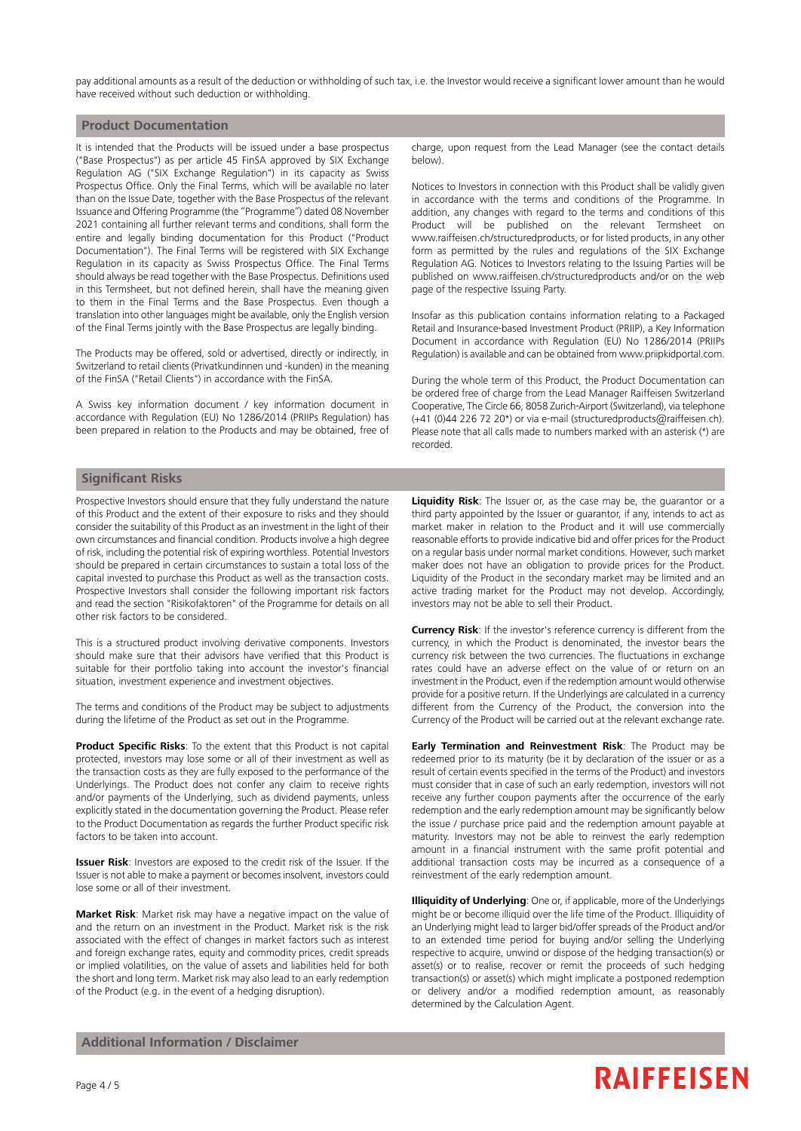pay additional amounts as a result of the deduction or withholding of such tax, i.e. the Investor would receive a significant lower amount than he would have received without such deduction or withholding.

### **Product Documentation**

It is intended that the Products will be issued under a base prospectus ("Base Prospectus") as per article 45 FinSA approved by SIX Exchange Regulation AG ("SIX Exchange Regulation") in its capacity as Swiss Prospectus Office. Only the Final Terms, which will be available no later than on the Issue Date, together with the Base Prospectus of the relevant Issuance and Offering Programme (the "Programme") dated 08 November 2021 containing all further relevant terms and conditions, shall form the entire and legally binding documentation for this Product ("Product Documentation"). The Final Terms will be registered with SIX Exchange Regulation in its capacity as Swiss Prospectus Office. The Final Terms should always be read together with the Base Prospectus. Definitions used in this Termsheet, but not defined herein, shall have the meaning given to them in the Final Terms and the Base Prospectus. Even though a translation into other languages might be available, only the English version of the Final Terms jointly with the Base Prospectus are legally binding.

The Products may be offered, sold or advertised, directly or indirectly, in Switzerland to retail clients (Privatkundinnen und -kunden) in the meaning of the FinSA ("Retail Clients") in accordance with the FinSA.

A Swiss key information document / key information document in accordance with Regulation (EU) No 1286/2014 (PRIIPs Regulation) has been prepared in relation to the Products and may be obtained, free of

charge, upon request from the Lead Manager (see the contact details below).

Notices to Investors in connection with this Product shall be validly given in accordance with the terms and conditions of the Programme. In addition, any changes with regard to the terms and conditions of this Product will be published on the relevant Termsheet on www.raiffeisen.ch/structuredproducts, or for listed products, in any other form as permitted by the rules and regulations of the SIX Exchange Regulation AG. Notices to Investors relating to the Issuing Parties will be published on www.raiffeisen.ch/structuredproducts and/or on the web page of the respective Issuing Party.

Insofar as this publication contains information relating to a Packaged Retail and Insurance-based Investment Product (PRIIP), a Key Information Document in accordance with Regulation (EU) No 1286/2014 (PRIIPs Regulation) is available and can be obtained from www.priipkidportal.com.

During the whole term of this Product, the Product Documentation can be ordered free of charge from the Lead Manager Raiffeisen Switzerland Cooperative, The Circle 66, 8058 Zurich-Airport (Switzerland), via telephone (+41 (0)44 226 72 20\*) or via e-mail (structuredproducts@raiffeisen.ch). Please note that all calls made to numbers marked with an asterisk (\*) are recorded.

## **Significant Risks**

Prospective Investors should ensure that they fully understand the nature of this Product and the extent of their exposure to risks and they should consider the suitability of this Product as an investment in the light of their own circumstances and financial condition. Products involve a high degree of risk, including the potential risk of expiring worthless. Potential Investors should be prepared in certain circumstances to sustain a total loss of the capital invested to purchase this Product as well as the transaction costs. Prospective Investors shall consider the following important risk factors and read the section "Risikofaktoren" of the Programme for details on all other risk factors to be considered.

This is a structured product involving derivative components. Investors should make sure that their advisors have verified that this Product is suitable for their portfolio taking into account the investor's financial situation, investment experience and investment objectives.

The terms and conditions of the Product may be subject to adjustments during the lifetime of the Product as set out in the Programme.

**Product Specific Risks**: To the extent that this Product is not capital protected, investors may lose some or all of their investment as well as the transaction costs as they are fully exposed to the performance of the Underlyings. The Product does not confer any claim to receive rights and/or payments of the Underlying, such as dividend payments, unless explicitly stated in the documentation governing the Product. Please refer to the Product Documentation as regards the further Product specific risk factors to be taken into account.

**Issuer Risk**: Investors are exposed to the credit risk of the Issuer. If the Issuer is not able to make a payment or becomes insolvent, investors could lose some or all of their investment.

**Market Risk**: Market risk may have a negative impact on the value of and the return on an investment in the Product. Market risk is the risk associated with the effect of changes in market factors such as interest and foreign exchange rates, equity and commodity prices, credit spreads or implied volatilities, on the value of assets and liabilities held for both the short and long term. Market risk may also lead to an early redemption of the Product (e.g. in the event of a hedging disruption).

**Liquidity Risk**: The Issuer or, as the case may be, the guarantor or a third party appointed by the Issuer or guarantor, if any, intends to act as market maker in relation to the Product and it will use commercially reasonable efforts to provide indicative bid and offer prices for the Product on a regular basis under normal market conditions. However, such market maker does not have an obligation to provide prices for the Product. Liquidity of the Product in the secondary market may be limited and an active trading market for the Product may not develop. Accordingly, investors may not be able to sell their Product.

**Currency Risk**: If the investor's reference currency is different from the currency, in which the Product is denominated, the investor bears the currency risk between the two currencies. The fluctuations in exchange rates could have an adverse effect on the value of or return on an investment in the Product, even if the redemption amount would otherwise provide for a positive return. If the Underlyings are calculated in a currency different from the Currency of the Product, the conversion into the Currency of the Product will be carried out at the relevant exchange rate.

**Early Termination and Reinvestment Risk**: The Product may be redeemed prior to its maturity (be it by declaration of the issuer or as a result of certain events specified in the terms of the Product) and investors must consider that in case of such an early redemption, investors will not receive any further coupon payments after the occurrence of the early redemption and the early redemption amount may be significantly below the issue / purchase price paid and the redemption amount payable at maturity. Investors may not be able to reinvest the early redemption amount in a financial instrument with the same profit potential and additional transaction costs may be incurred as a consequence of a reinvestment of the early redemption amount.

**Illiquidity of Underlying**: One or, if applicable, more of the Underlyings might be or become illiquid over the life time of the Product. Illiquidity of an Underlying might lead to larger bid/offer spreads of the Product and/or to an extended time period for buying and/or selling the Underlying respective to acquire, unwind or dispose of the hedging transaction(s) or asset(s) or to realise, recover or remit the proceeds of such hedging transaction(s) or asset(s) which might implicate a postponed redemption or delivery and/or a modified redemption amount, as reasonably determined by the Calculation Agent.

## **Additional Information / Disclaimer**

## **RAIFFEISEN**